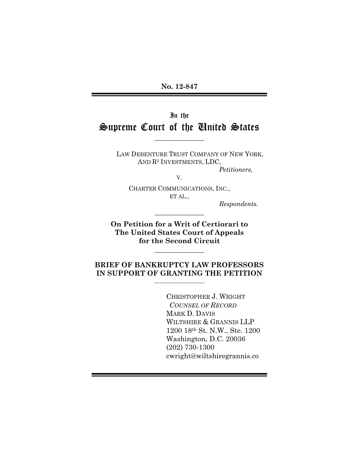**No. 12-847**

# In the Supreme Court of the United States

 $\overline{\phantom{a}}$ 

LAW DEBENTURE TRUST COMPANY OF NEW YORK, AND R<sup>2</sup> INVESTMENTS, LDC, *Petitioners,*

V.

CHARTER COMMUNICATIONS, INC., ET AL.,

*Respondents.*

**On Petition for a Writ of Certiorari to The United States Court of Appeals for the Second Circuit**

 $\overline{\phantom{a}}$ 

 $\overline{\phantom{a}}$ 

#### **BRIEF OF BANKRUPTCY LAW PROFESSORS IN SUPPORT OF GRANTING THE PETITION**  $\_$

CHRISTOPHER J. WRIGHT *COUNSEL OF RECORD* MARK D. DAVIS WILTSHIRE & GRANNIS LLP 1200 18th St. N.W., Ste. 1200 Washington, D.C. 20036 (202) 730-1300 cwright@wiltshiregrannis.co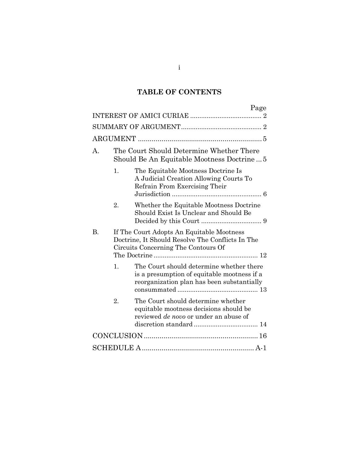## **TABLE OF CONTENTS**

|                |                                                                                                                                      | Page                                                                                                                                  |  |  |  |  |
|----------------|--------------------------------------------------------------------------------------------------------------------------------------|---------------------------------------------------------------------------------------------------------------------------------------|--|--|--|--|
|                |                                                                                                                                      |                                                                                                                                       |  |  |  |  |
|                |                                                                                                                                      |                                                                                                                                       |  |  |  |  |
|                |                                                                                                                                      |                                                                                                                                       |  |  |  |  |
| $\mathsf{A}$ . | The Court Should Determine Whether There<br>Should Be An Equitable Mootness Doctrine5                                                |                                                                                                                                       |  |  |  |  |
|                | 1.                                                                                                                                   | The Equitable Mootness Doctrine Is<br>A Judicial Creation Allowing Courts To<br>Refrain From Exercising Their                         |  |  |  |  |
|                | 2.                                                                                                                                   | Whether the Equitable Mootness Doctrine<br>Should Exist Is Unclear and Should Be                                                      |  |  |  |  |
| B.             | If The Court Adopts An Equitable Mootness<br>Doctrine, It Should Resolve The Conflicts In The<br>Circuits Concerning The Contours Of |                                                                                                                                       |  |  |  |  |
|                | 1.                                                                                                                                   | The Court should determine whether there<br>is a presumption of equitable mootness if a<br>reorganization plan has been substantially |  |  |  |  |
|                | 2.                                                                                                                                   | The Court should determine whether<br>equitable mootness decisions should be<br>reviewed <i>de novo</i> or under an abuse of          |  |  |  |  |
|                |                                                                                                                                      |                                                                                                                                       |  |  |  |  |
|                |                                                                                                                                      |                                                                                                                                       |  |  |  |  |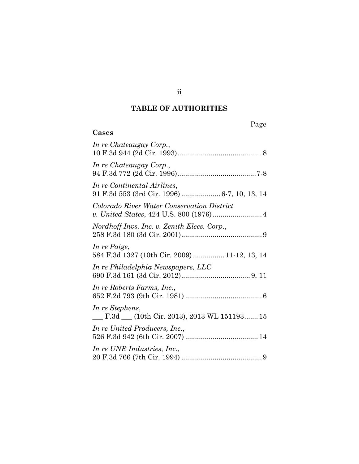## **TABLE OF AUTHORITIES**

**Cases**

| In re Chateaugay Corp.,                                                     |
|-----------------------------------------------------------------------------|
| In re Chateaugay Corp.,                                                     |
| In re Continental Airlines,<br>91 F.3d 553 (3rd Cir. 1996)  6-7, 10, 13, 14 |
| Colorado River Water Conservation District                                  |
| Nordhoff Invs. Inc. v. Zenith Elecs. Corp.,                                 |
| In re Paige,<br>584 F.3d 1327 (10th Cir. 2009)  11-12, 13, 14               |
| In re Philadelphia Newspapers, LLC                                          |
| In re Roberts Farms, Inc.,                                                  |
| In re Stephens,<br>F.3d (10th Cir. 2013), 2013 WL 151193 15                 |
| In re United Producers, Inc.,                                               |
| In re UNR Industries, Inc.,                                                 |

ii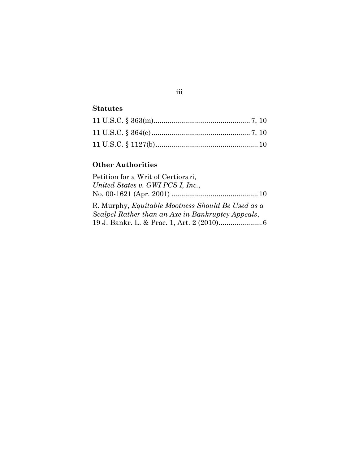## **Statutes**

## **Other Authorities**

| Petition for a Writ of Certiorari,                       |  |
|----------------------------------------------------------|--|
| United States v. GWI PCS I, Inc.,                        |  |
|                                                          |  |
| R. Murphy, <i>Equitable Mootness Should Be Used as a</i> |  |
| Scalpel Rather than an Axe in Bankruptcy Appeals,        |  |
|                                                          |  |

# iii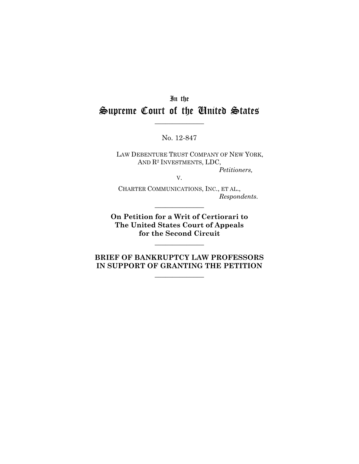# In the Supreme Court of the United States

No. 12-847

V.

 $\overline{\phantom{a}}$ 

LAW DEBENTURE TRUST COMPANY OF NEW YORK, AND R<sup>2</sup> INVESTMENTS, LDC, *Petitioners,*

CHARTER COMMUNICATIONS, INC., ET AL., *Respondents.*

**On Petition for a Writ of Certiorari to The United States Court of Appeals for the Second Circuit**

 $\overline{\phantom{a}}$ 

 $\overline{\phantom{a}}$ 

**BRIEF OF BANKRUPTCY LAW PROFESSORS IN SUPPORT OF GRANTING THE PETITION**

 $\overline{\phantom{a}}$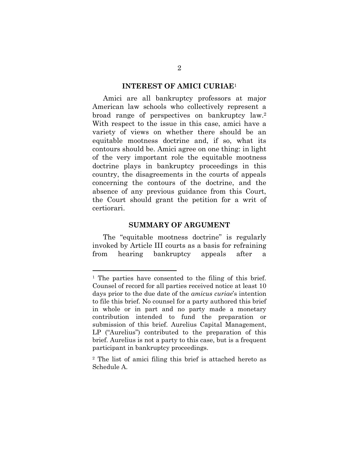#### **INTEREST OF AMICI CURIAE**<sup>1</sup>

Amici are all bankruptcy professors at major American law schools who collectively represent a broad range of perspectives on bankruptcy law. 2 With respect to the issue in this case, amici have a variety of views on whether there should be an equitable mootness doctrine and, if so, what its contours should be. Amici agree on one thing: in light of the very important role the equitable mootness doctrine plays in bankruptcy proceedings in this country, the disagreements in the courts of appeals concerning the contours of the doctrine, and the absence of any previous guidance from this Court, the Court should grant the petition for a writ of certiorari.

#### **SUMMARY OF ARGUMENT**

The "equitable mootness doctrine" is regularly invoked by Article III courts as a basis for refraining from hearing bankruptcy appeals after a

 $\overline{a}$ 

<sup>1</sup> The parties have consented to the filing of this brief. Counsel of record for all parties received notice at least 10 days prior to the due date of the *amicus curiae*'s intention to file this brief. No counsel for a party authored this brief in whole or in part and no party made a monetary contribution intended to fund the preparation or submission of this brief. Aurelius Capital Management, LP ("Aurelius") contributed to the preparation of this brief. Aurelius is not a party to this case, but is a frequent participant in bankruptcy proceedings.

<sup>2</sup> The list of amici filing this brief is attached hereto as Schedule A.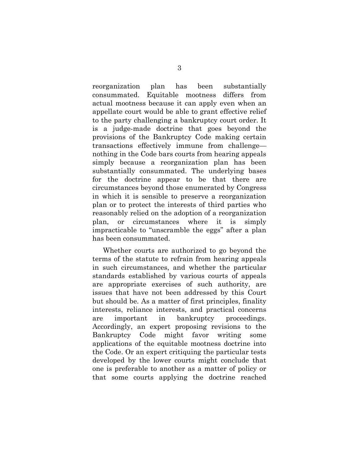reorganization plan has been substantially consummated. Equitable mootness differs from actual mootness because it can apply even when an appellate court would be able to grant effective relief to the party challenging a bankruptcy court order. It is a judge-made doctrine that goes beyond the provisions of the Bankruptcy Code making certain transactions effectively immune from challenge nothing in the Code bars courts from hearing appeals simply because a reorganization plan has been substantially consummated. The underlying bases for the doctrine appear to be that there are circumstances beyond those enumerated by Congress in which it is sensible to preserve a reorganization plan or to protect the interests of third parties who reasonably relied on the adoption of a reorganization plan, or circumstances where it is simply impracticable to "unscramble the eggs" after a plan has been consummated.

Whether courts are authorized to go beyond the terms of the statute to refrain from hearing appeals in such circumstances, and whether the particular standards established by various courts of appeals are appropriate exercises of such authority, are issues that have not been addressed by this Court but should be. As a matter of first principles, finality interests, reliance interests, and practical concerns are important in bankruptcy proceedings. Accordingly, an expert proposing revisions to the Bankruptcy Code might favor writing some applications of the equitable mootness doctrine into the Code. Or an expert critiquing the particular tests developed by the lower courts might conclude that one is preferable to another as a matter of policy or that some courts applying the doctrine reached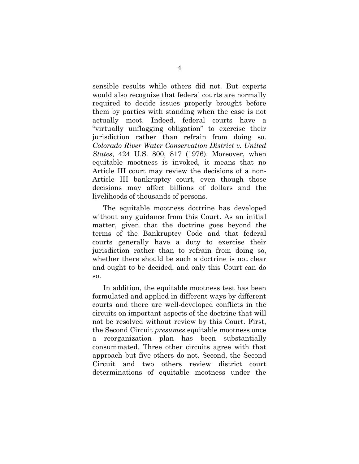sensible results while others did not. But experts would also recognize that federal courts are normally required to decide issues properly brought before them by parties with standing when the case is not actually moot. Indeed, federal courts have a "virtually unflagging obligation" to exercise their jurisdiction rather than refrain from doing so. *Colorado River Water Conservation District v. United States*, 424 U.S. 800, 817 (1976). Moreover, when equitable mootness is invoked, it means that no Article III court may review the decisions of a non-Article III bankruptcy court, even though those decisions may affect billions of dollars and the livelihoods of thousands of persons.

The equitable mootness doctrine has developed without any guidance from this Court. As an initial matter, given that the doctrine goes beyond the terms of the Bankruptcy Code and that federal courts generally have a duty to exercise their jurisdiction rather than to refrain from doing so, whether there should be such a doctrine is not clear and ought to be decided, and only this Court can do so.

In addition, the equitable mootness test has been formulated and applied in different ways by different courts and there are well-developed conflicts in the circuits on important aspects of the doctrine that will not be resolved without review by this Court. First, the Second Circuit *presumes* equitable mootness once a reorganization plan has been substantially consummated. Three other circuits agree with that approach but five others do not. Second, the Second Circuit and two others review district court determinations of equitable mootness under the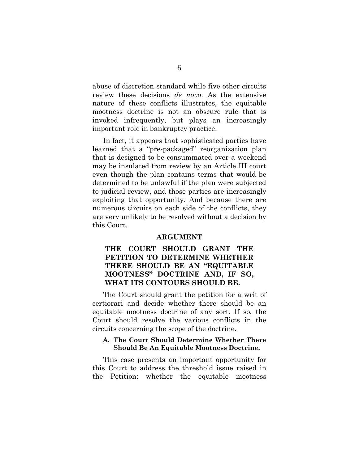abuse of discretion standard while five other circuits review these decisions *de novo*. As the extensive nature of these conflicts illustrates, the equitable mootness doctrine is not an obscure rule that is invoked infrequently, but plays an increasingly important role in bankruptcy practice.

In fact, it appears that sophisticated parties have learned that a "pre-packaged" reorganization plan that is designed to be consummated over a weekend may be insulated from review by an Article III court even though the plan contains terms that would be determined to be unlawful if the plan were subjected to judicial review, and those parties are increasingly exploiting that opportunity. And because there are numerous circuits on each side of the conflicts, they are very unlikely to be resolved without a decision by this Court.

#### **ARGUMENT**

## **THE COURT SHOULD GRANT THE PETITION TO DETERMINE WHETHER THERE SHOULD BE AN "EQUITABLE MOOTNESS" DOCTRINE AND, IF SO, WHAT ITS CONTOURS SHOULD BE.**

The Court should grant the petition for a writ of certiorari and decide whether there should be an equitable mootness doctrine of any sort. If so, the Court should resolve the various conflicts in the circuits concerning the scope of the doctrine.

#### **A. The Court Should Determine Whether There Should Be An Equitable Mootness Doctrine.**

This case presents an important opportunity for this Court to address the threshold issue raised in the Petition: whether the equitable mootness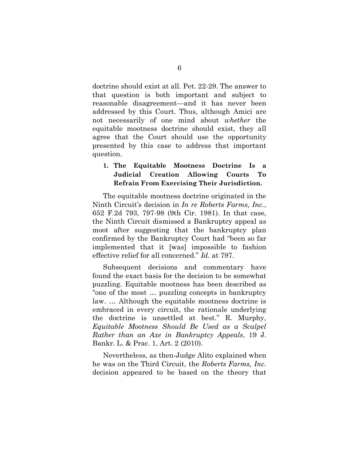doctrine should exist at all. Pet. 22-29. The answer to that question is both important and subject to reasonable disagreement—and it has never been addressed by this Court. Thus, although Amici are not necessarily of one mind about *whether* the equitable mootness doctrine should exist, they all agree that the Court should use the opportunity presented by this case to address that important question.

### **1. The Equitable Mootness Doctrine Is a Judicial Creation Allowing Courts To Refrain From Exercising Their Jurisdiction.**

The equitable mootness doctrine originated in the Ninth Circuit's decision in *In re Roberts Farms, Inc.*, 652 F.2d 793, 797-98 (9th Cir. 1981). In that case, the Ninth Circuit dismissed a Bankruptcy appeal as moot after suggesting that the bankruptcy plan confirmed by the Bankruptcy Court had "been so far implemented that it [was] impossible to fashion effective relief for all concerned." *Id.* at 797.

Subsequent decisions and commentary have found the exact basis for the decision to be somewhat puzzling. Equitable mootness has been described as "one of the most … puzzling concepts in bankruptcy law. … Although the equitable mootness doctrine is embraced in every circuit, the rationale underlying the doctrine is unsettled at best." R. Murphy, *Equitable Mootness Should Be Used as a Scalpel Rather than an Axe in Bankruptcy Appeals*, 19 J. Bankr. L. & Prac. 1, Art. 2 (2010).

Nevertheless, as then-Judge Alito explained when he was on the Third Circuit, the *Roberts Farms, Inc.* decision appeared to be based on the theory that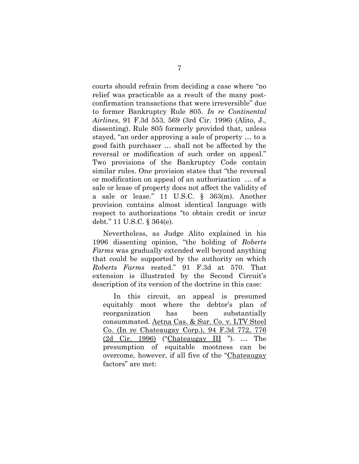courts should refrain from deciding a case where "no relief was practicable as a result of the many postconfirmation transactions that were irreversible" due to former Bankruptcy Rule 805. *In re Continental Airlines*, 91 F.3d 553, 569 (3rd Cir. 1996) (Alito, J., dissenting). Rule 805 formerly provided that, unless stayed, "an order approving a sale of property … to a good faith purchaser … shall not be affected by the reversal or modification of such order on appeal." Two provisions of the Bankruptcy Code contain similar rules. One provision states that "the reversal or modification on appeal of an authorization … of a sale or lease of property does not affect the validity of a sale or lease." 11 U.S.C. § 363(m). Another provision contains almost identical language with respect to authorizations "to obtain credit or incur debt." 11 U.S.C. § 364(e).

Nevertheless, as Judge Alito explained in his 1996 dissenting opinion, "the holding of *Roberts Farms* was gradually extended well beyond anything that could be supported by the authority on which *Roberts Farms* rested." 91 F.3d at 570. That extension is illustrated by the Second Circuit's description of its version of the doctrine in this case:

In this circuit, an appeal is presumed equitably moot where the debtor's plan of reorganization has been substantially consummated. [Aetna Cas. & Sur. Co. v. LTV Steel](https://a.next.westlaw.com/Link/Document/FullText?findType=Y&serNum=1996200713&pubNum=506&originationContext=document&transitionType=DocumentItem&contextData=%28sc.UserEnteredCitation%29#co_pp_sp_506_776)  [Co. \(In re Chateaugay Corp.\),](https://a.next.westlaw.com/Link/Document/FullText?findType=Y&serNum=1996200713&pubNum=506&originationContext=document&transitionType=DocumentItem&contextData=%28sc.UserEnteredCitation%29#co_pp_sp_506_776) 94 F.3d 772, 776 [\(2d Cir.](https://a.next.westlaw.com/Link/Document/FullText?findType=Y&serNum=1996200713&pubNum=506&originationContext=document&transitionType=DocumentItem&contextData=%28sc.UserEnteredCitation%29#co_pp_sp_506_776) 1996) ("[Chateaugay III](https://a.next.westlaw.com/Link/Document/FullText?findType=Y&serNum=1996200713&originationContext=document&transitionType=DocumentItem&contextData=%28sc.UserEnteredCitation%29) "). … The presumption of equitable mootness can be overcome, however, if all five of the "Chateaugay factors" are met: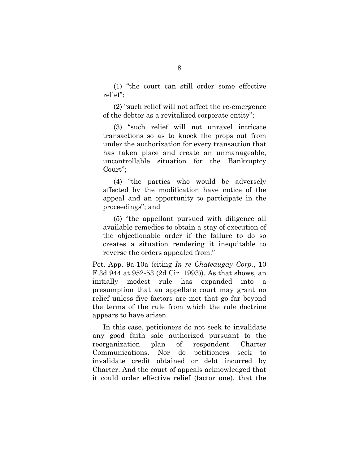(1) "the court can still order some effective relief";

(2) "such relief will not affect the re-emergence of the debtor as a revitalized corporate entity";

(3) "such relief will not unravel intricate transactions so as to knock the props out from under the authorization for every transaction that has taken place and create an unmanageable, uncontrollable situation for the Bankruptcy Court";

(4) "the parties who would be adversely affected by the modification have notice of the appeal and an opportunity to participate in the proceedings"; and

(5) "the appellant pursued with diligence all available remedies to obtain a stay of execution of the objectionable order if the failure to do so creates a situation rendering it inequitable to reverse the orders appealed from."

Pet. App. 9a-10a (citing *In re Chateaugay Corp.*, 10 F.3d 944 at 952-53 (2d Cir. 1993)). As that shows, an initially modest rule has expanded into a presumption that an appellate court may grant no relief unless five factors are met that go far beyond the terms of the rule from which the rule doctrine appears to have arisen.

In this case, petitioners do not seek to invalidate any good faith sale authorized pursuant to the reorganization plan of respondent Charter Communications. Nor do petitioners seek to invalidate credit obtained or debt incurred by Charter. And the court of appeals acknowledged that it could order effective relief (factor one), that the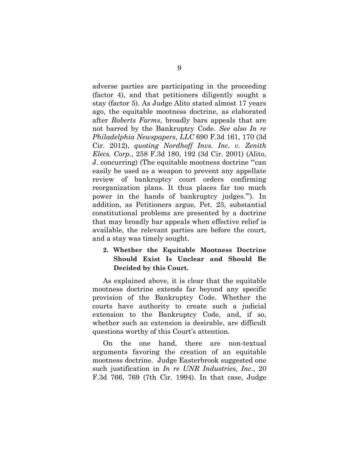adverse parties are participating in the proceeding (factor 4), and that petitioners diligently sought a stay (factor 5). As Judge Alito stated almost 17 years ago, the equitable mootness doctrine, as elaborated after *Roberts Farms*, broadly bars appeals that are not barred by the Bankruptcy Code. *See also In re Philadelphia Newspapers*, *LLC* 690 F.3d 161, 170 (3d Cir. 2012), *quoting Nordhoff Invs. Inc. v. Zenith Elecs. Corp.*, 258 F.3d 180, 192 (3d Cir. 2001) (Alito, J. concurring) (The equitable mootness doctrine "'can easily be used as a weapon to prevent any appellate review of bankruptcy court orders confirming reorganization plans. It thus places far too much power in the hands of bankruptcy judges.'"). In addition, as Petitioners argue, Pet. 23, substantial constitutional problems are presented by a doctrine that may broadly bar appeals when effective relief is available, the relevant parties are before the court, and a stay was timely sought.

## **2. Whether the Equitable Mootness Doctrine Should Exist Is Unclear and Should Be Decided by this Court.**

As explained above, it is clear that the equitable mootness doctrine extends far beyond any specific provision of the Bankruptcy Code. Whether the courts have authority to create such a judicial extension to the Bankruptcy Code, and, if so, whether such an extension is desirable, are difficult questions worthy of this Court's attention.

On the one hand, there are non-textual arguments favoring the creation of an equitable mootness doctrine. Judge Easterbrook suggested one such justification in *In re UNR Industries, Inc.*, 20 F.3d 766, 769 (7th Cir. 1994). In that case, Judge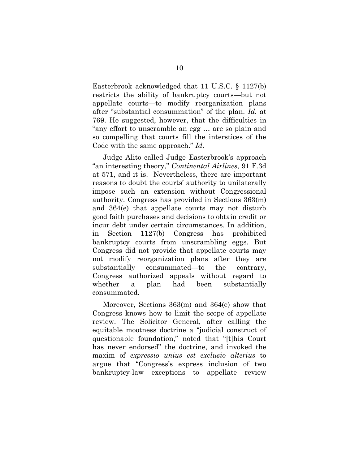Easterbrook acknowledged that 11 U.S.C. § 1127(b) restricts the ability of bankruptcy courts—but not appellate courts—to modify reorganization plans after "substantial consummation" of the plan. *Id.* at 769. He suggested, however, that the difficulties in "any effort to unscramble an egg … are so plain and so compelling that courts fill the interstices of the Code with the same approach." *Id*.

Judge Alito called Judge Easterbrook's approach "an interesting theory," *Continental Airlines*, 91 F.3d at 571, and it is. Nevertheless, there are important reasons to doubt the courts' authority to unilaterally impose such an extension without Congressional authority. Congress has provided in Sections 363(m) and 364(e) that appellate courts may not disturb good faith purchases and decisions to obtain credit or incur debt under certain circumstances. In addition, in Section 1127(b) Congress has prohibited bankruptcy courts from unscrambling eggs. But Congress did not provide that appellate courts may not modify reorganization plans after they are substantially consummated—to the contrary, Congress authorized appeals without regard to whether a plan had been substantially consummated.

Moreover, Sections 363(m) and 364(e) show that Congress knows how to limit the scope of appellate review. The Solicitor General, after calling the equitable mootness doctrine a "judicial construct of questionable foundation," noted that "[t]his Court has never endorsed" the doctrine, and invoked the maxim of *expressio unius est exclusio alterius* to argue that "Congress's express inclusion of two bankruptcy-law exceptions to appellate review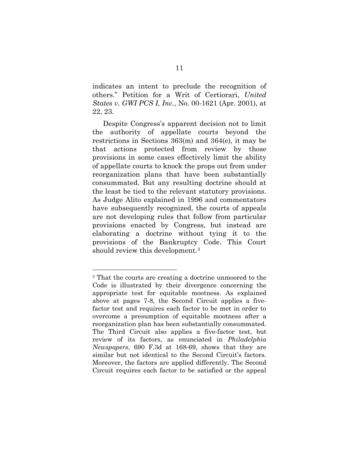indicates an intent to preclude the recognition of others." Petition for a Writ of Certiorari, *United States v. GWI PCS I, Inc.*, No. 00-1621 (Apr. 2001), at 22, 23.

Despite Congress's apparent decision not to limit the authority of appellate courts beyond the restrictions in Sections 363(m) and 364(e), it may be that actions protected from review by those provisions in some cases effectively limit the ability of appellate courts to knock the props out from under reorganization plans that have been substantially consummated. But any resulting doctrine should at the least be tied to the relevant statutory provisions. As Judge Alito explained in 1996 and commentators have subsequently recognized, the courts of appeals are not developing rules that follow from particular provisions enacted by Congress, but instead are elaborating a doctrine without tying it to the provisions of the Bankruptcy Code. This Court should review this development.<sup>3</sup>

 $\overline{a}$ 

<sup>3</sup> That the courts are creating a doctrine unmoored to the Code is illustrated by their divergence concerning the appropriate test for equitable mootness. As explained above at pages 7-8, the Second Circuit applies a fivefactor test and requires each factor to be met in order to overcome a presumption of equitable mootness after a reorganization plan has been substantially consummated. The Third Circuit also applies a five-factor test, but review of its factors, as enunciated in *Philadelphia Newspapers*, 690 F.3d at 168-69, shows that they are similar but not identical to the Second Circuit's factors. Moreover, the factors are applied differently. The Second Circuit requires each factor to be satisfied or the appeal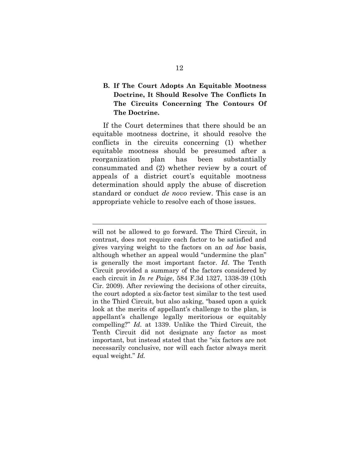## **B. If The Court Adopts An Equitable Mootness Doctrine, It Should Resolve The Conflicts In The Circuits Concerning The Contours Of The Doctrine.**

If the Court determines that there should be an equitable mootness doctrine, it should resolve the conflicts in the circuits concerning (1) whether equitable mootness should be presumed after a reorganization plan has been substantially consummated and (2) whether review by a court of appeals of a district court's equitable mootness determination should apply the abuse of discretion standard or conduct *de novo* review. This case is an appropriate vehicle to resolve each of those issues.

 $\overline{a}$ 

will not be allowed to go forward. The Third Circuit, in contrast, does not require each factor to be satisfied and gives varying weight to the factors on an *ad hoc* basis, although whether an appeal would "undermine the plan" is generally the most important factor. *Id*. The Tenth Circuit provided a summary of the factors considered by each circuit in *In re Paige*, 584 F.3d 1327, 1338-39 (10th Cir. 2009). After reviewing the decisions of other circuits, the court adopted a six-factor test similar to the test used in the Third Circuit, but also asking, "based upon a quick look at the merits of appellant's challenge to the plan, is appellant's challenge legally meritorious or equitably compelling?" *Id*. at 1339. Unlike the Third Circuit, the Tenth Circuit did not designate any factor as most important, but instead stated that the "six factors are not necessarily conclusive, nor will each factor always merit equal weight." *Id.*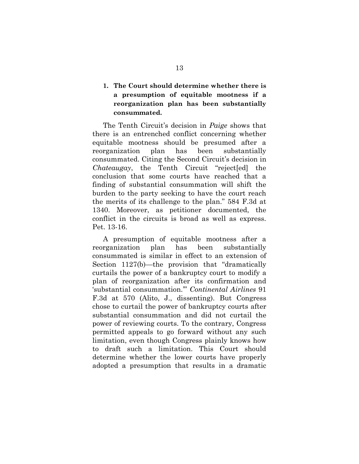## **1. The Court should determine whether there is a presumption of equitable mootness if a reorganization plan has been substantially consummated.**

The Tenth Circuit's decision in *Paige* shows that there is an entrenched conflict concerning whether equitable mootness should be presumed after a reorganization plan has been substantially consummated. Citing the Second Circuit's decision in *Chateaugay*, the Tenth Circuit "reject[ed] the conclusion that some courts have reached that a finding of substantial consummation will shift the burden to the party seeking to have the court reach the merits of its challenge to the plan." 584 F.3d at 1340. Moreover, as petitioner documented, the conflict in the circuits is broad as well as express. Pet. 13-16.

A presumption of equitable mootness after a reorganization plan has been substantially consummated is similar in effect to an extension of Section 1127(b)—the provision that "dramatically curtails the power of a bankruptcy court to modify a plan of reorganization after its confirmation and 'substantial consummation.'" *Continental Airlines* 91 F.3d at 570 (Alito, J., dissenting). But Congress chose to curtail the power of bankruptcy courts after substantial consummation and did not curtail the power of reviewing courts. To the contrary, Congress permitted appeals to go forward without any such limitation, even though Congress plainly knows how to draft such a limitation. This Court should determine whether the lower courts have properly adopted a presumption that results in a dramatic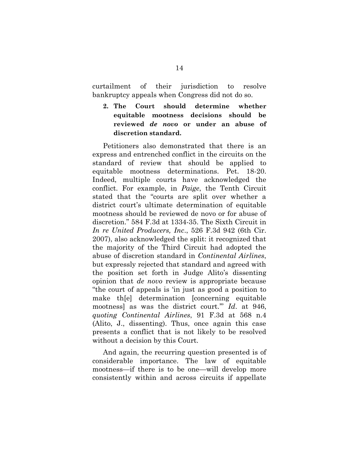curtailment of their jurisdiction to resolve bankruptcy appeals when Congress did not do so.

**2. The Court should determine whether equitable mootness decisions should be reviewed** *de novo* **or under an abuse of discretion standard.**

Petitioners also demonstrated that there is an express and entrenched conflict in the circuits on the standard of review that should be applied to equitable mootness determinations. Pet. 18-20. Indeed, multiple courts have acknowledged the conflict. For example, in *Paige*, the Tenth Circuit stated that the "courts are split over whether a district court's ultimate determination of equitable mootness should be reviewed de novo or for abuse of discretion." 584 F.3d at 1334-35. The Sixth Circuit in *In re United Producers, Inc*., 526 F.3d 942 (6th Cir. 2007), also acknowledged the split: it recognized that the majority of the Third Circuit had adopted the abuse of discretion standard in *Continental Airlines*, but expressly rejected that standard and agreed with the position set forth in Judge Alito's dissenting opinion that *de novo* review is appropriate because "the court of appeals is 'in just as good a position to make th[e] determination [concerning equitable mootness] as was the district court.'" *Id*. at 946, *quoting Continental Airlines*, 91 F.3d at 568 n.4 (Alito, J., dissenting). Thus, once again this case presents a conflict that is not likely to be resolved without a decision by this Court.

And again, the recurring question presented is of considerable importance. The law of equitable mootness—if there is to be one—will develop more consistently within and across circuits if appellate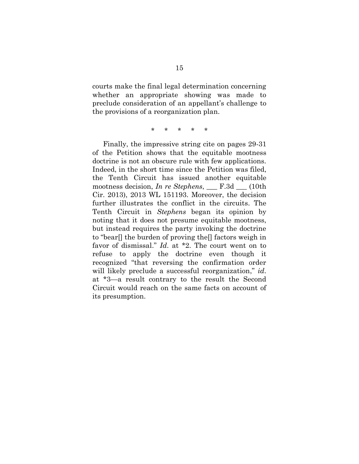courts make the final legal determination concerning whether an appropriate showing was made to preclude consideration of an appellant's challenge to the provisions of a reorganization plan.

\* \* \* \* \*

Finally, the impressive string cite on pages 29-31 of the Petition shows that the equitable mootness doctrine is not an obscure rule with few applications. Indeed, in the short time since the Petition was filed, the Tenth Circuit has issued another equitable mootness decision, *In re Stephens*, \_\_\_ F.3d \_\_\_ (10th Cir. 2013), 2013 WL 151193. Moreover, the decision further illustrates the conflict in the circuits. The Tenth Circuit in *Stephens* began its opinion by noting that it does not presume equitable mootness, but instead requires the party invoking the doctrine to "bear[] the burden of proving the[] factors weigh in favor of dismissal." *Id*. at \*2. The court went on to refuse to apply the doctrine even though it recognized "that reversing the confirmation order will likely preclude a successful reorganization," *id*. at \*3—a result contrary to the result the Second Circuit would reach on the same facts on account of its presumption.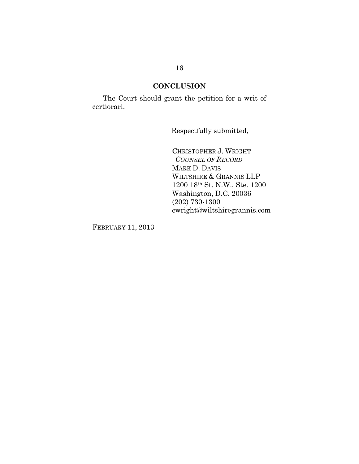### **CONCLUSION**

The Court should grant the petition for a writ of certiorari.

Respectfully submitted,

CHRISTOPHER J. WRIGHT *COUNSEL OF RECORD* MARK D. DAVIS WILTSHIRE & GRANNIS LLP 1200 18th St. N.W., Ste. 1200 Washington, D.C. 20036 (202) 730-1300 cwright@wiltshiregrannis.com

FEBRUARY 11, 2013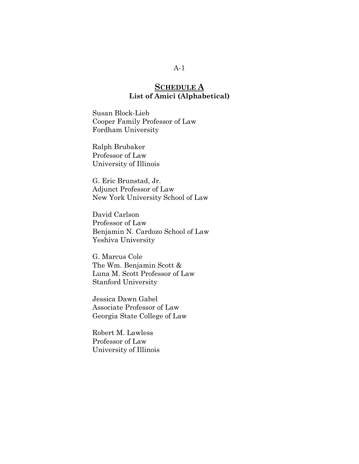## **SCHEDULE A List of Amici (Alphabetical)**

Susan Block-Lieb Cooper Family Professor of Law Fordham University

Ralph Brubaker Professor of Law University of Illinois

G. Eric Brunstad, Jr. Adjunct Professor of Law New York University School of Law

David Carlson Professor of Law Benjamin N. Cardozo School of Law Yeshiva University

G. Marcus Cole The Wm. Benjamin Scott & Luna M. Scott Professor of Law Stanford University

Jessica Dawn Gabel Associate Professor of Law Georgia State College of Law

Robert M. Lawless Professor of Law University of Illinois